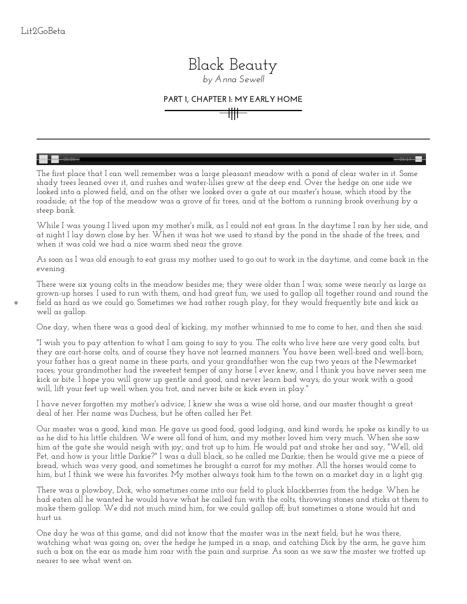

## *by [Anna Sewell](http://etc.usf.edu/lit2go/authors/82/anna-sewell/)*

## **PART 1, CHAPTER 1: MY EARLY HOME**

 $\sim$  00:00  $\sim$   $-$  05:17  $-$  05:17  $\sim$  0.00  $\sim$  0.00  $-$  0.00  $-$  0.00  $-$  0.00  $-$  0.00  $-$  0.00  $-$  0.00  $-$  0.00  $-$  0.00  $-$  0.00  $-$  0.00  $-$  0.00  $-$  0.00  $-$  0.00  $-$  0.00  $-$  0.00  $-$  0.00  $-$  0.00  $-$  0.00

The first place that I can well remember was a large pleasant meadow with a pond of clear water in it. Some shady trees leaned over it, and rushes and water-lilies grew at the deep end. Over the hedge on one side we looked into a plowed field, and on the other we looked over a gate at our master's house, which stood by the roadside; at the top of the meadow was a grove of fir trees, and at the bottom a running brook overhung by a steep bank.

While I was young I lived upon my mother's milk, as I could not eat grass. In the daytime I ran by her side, and at night I lay down close by her. When it was hot we used to stand by the pond in the shade of the trees, and when it was cold we had a nice warm shed near the grove.

As soon as I was old enough to eat grass my mother used to go out to work in the daytime, and come back in the evening.

There were six young colts in the meadow besides me; they were older than I was; some were nearly as large as grown-up horses. I used to run with them, and had great fun; we used to gallop all together round and round the field as hard as we could go. Sometimes we had rather rough play, for they would frequently bite and kick as well as gallop.

One day, when there was a good deal of kicking, my mother whinnied to me to come to her, and then she said:

"I wish you to pay attention to what I am going to say to you. The colts who live here are very good colts, but they are cart-horse colts, and of course they have not learned manners. You have been well-bred and well-born; your father has a great name in these parts, and your grandfather won the cup two years at the Newmarket races; your grandmother had the sweetest temper of any horse I ever knew, and I think you have never seen me kick or bite. I hope you will grow up gentle and good, and never learn bad ways; do your work with a good will, lift your feet up well when you trot, and never bite or kick even in play."

I have never forgotten my mother's advice; I knew she was a wise old horse, and our master thought a great deal of her. Her name was Duchess, but he often called her Pet.

Our master was a good, kind man. He gave us good food, good lodging, and kind words; he spoke as kindly to us as he did to his little children. We were all fond of him, and my mother loved him very much. When she saw him at the gate she would neigh with joy, and trot up to him. He would pat and stroke her and say, "Well, old Pet, and how is your little Darkie?" I was a dull black, so he called me Darkie; then he would give me a piece of bread, which was very good, and sometimes he brought a carrot for my mother. All the horses would come to him, but I think we were his favorites. My mother always took him to the town on a market day in a light gig.

There was a plowboy, Dick, who sometimes came into our field to pluck blackberries from the hedge. When he had eaten all he wanted he would have what he called fun with the colts, throwing stones and sticks at them to make them gallop. We did not much mind him, for we could gallop off; but sometimes a stone would hit and hurt us.

One day he was at this game, and did not know that the master was in the next field; but he was there, watching what was going on; over the hedge he jumped in a snap, and catching Dick by the arm, he gave him such a box on the ear as made him roar with the pain and surprise. As soon as we saw the master we trotted up nearer to see what went on.